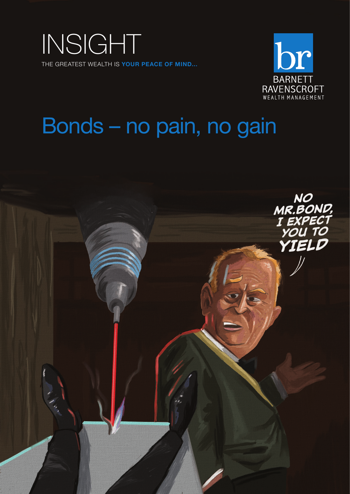



# Bonds – no pain, no gain

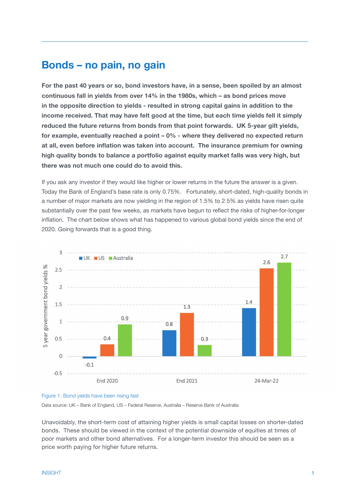## **Bonds – no pain, no gain**

**For the past 40 years or so, bond investors have, in a sense, been spoiled by an almost continuous fall in yields from over 14% in the 1980s, which – as bond prices move in the opposite direction to yields - resulted in strong capital gains in addition to the income received. That may have felt good at the time, but each time yields fell it simply reduced the future returns from bonds from that point forwards. UK 5-year gilt yields, for example, eventually reached a point – 0% - where they delivered no expected return at all, even before inflation was taken into account. The insurance premium for owning high quality bonds to balance a portfolio against equity market falls was very high, but there was not much one could do to avoid this.** 

If you ask any investor if they would like higher or lower returns in the future the answer is a given. Today the Bank of England's base rate is only 0.75%. Fortunately, short-dated, high-quality bonds in a number of major markets are now yielding in the region of 1.5% to 2.5% as yields have risen quite substantially over the past few weeks, as markets have begun to reflect the risks of higher-for-longer inflation. The chart below shows what has happened to various global bond yields since the end of 2020. Going forwards that is a good thing.



## Figure 1: Bond yields have been rising fast

Data source: UK – Bank of England, US – Federal Reserve, Australia – Reserve Bank of Australia

Unavoidably, the short-term cost of attaining higher yields is small capital losses on shorter-dated bonds. These should be viewed in the context of the potential downside of equities at times of poor markets and other bond alternatives. For a longer-term investor this should be seen as a price worth paying for higher future returns.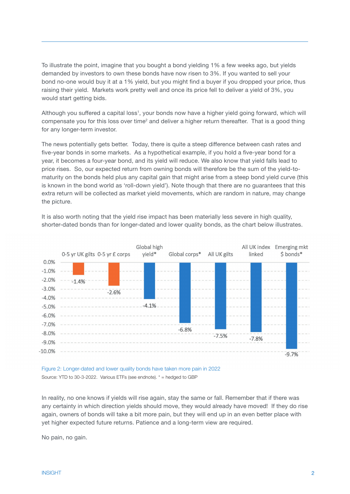To illustrate the point, imagine that you bought a bond yielding 1% a few weeks ago, but yields demanded by investors to own these bonds have now risen to 3%. If you wanted to sell your bond no-one would buy it at a 1% yield, but you might find a buyer if you dropped your price, thus raising their yield. Markets work pretty well and once its price fell to deliver a yield of 3%, you would start getting bids.

Although you suffered a capital loss<sup>1</sup>, your bonds now have a higher yield going forward, which will compensate you for this loss over time<sup>2</sup> and deliver a higher return thereafter. That is a good thing for any longer-term investor.

The news potentially gets better. Today, there is quite a steep difference between cash rates and five-year bonds in some markets. As a hypothetical example, if you hold a five-year bond for a year, it becomes a four-year bond, and its yield will reduce. We also know that yield falls lead to price rises. So, our expected return from owning bonds will therefore be the sum of the yield-tomaturity on the bonds held plus any capital gain that might arise from a steep bond yield curve (this is known in the bond world as 'roll-down yield'). Note though that there are no guarantees that this extra return will be collected as market yield movements, which are random in nature, may change the picture.

It is also worth noting that the yield rise impact has been materially less severe in high quality, shorter-dated bonds than for longer-dated and lower quality bonds, as the chart below illustrates.



Figure 2: Longer-dated and lower quality bonds have taken more pain in 2022 Source: YTD to 30-3-2022. Various ETFs (see endnote). \* = hedged to GBP

In reality, no one knows if yields will rise again, stay the same or fall. Remember that if there was any certainty in which direction yields should move, they would already have moved! If they do rise again, owners of bonds will take a bit more pain, but they will end up in an even better place with yet higher expected future returns. Patience and a long-term view are required.

No pain, no gain.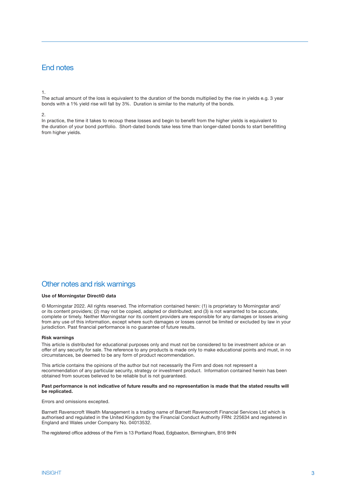## End notes

### 1.

The actual amount of the loss is equivalent to the duration of the bonds multiplied by the rise in yields e.g. 3 year bonds with a 1% yield rise will fall by 3%. Duration is similar to the maturity of the bonds.

### 2.

In practice, the time it takes to recoup these losses and begin to benefit from the higher yields is equivalent to the duration of your bond portfolio. Short-dated bonds take less time than longer-dated bonds to start benefitting from higher yields.

## Other notes and risk warnings

## **Use of Morningstar Direct© data**

© Morningstar 2022. All rights reserved. The information contained herein: (1) is proprietary to Morningstar and/ or its content providers; (2) may not be copied, adapted or distributed; and (3) is not warranted to be accurate, complete or timely. Neither Morningstar nor its content providers are responsible for any damages or losses arising from any use of this information, except where such damages or losses cannot be limited or excluded by law in your jurisdiction. Past financial performance is no guarantee of future results.

#### **Risk warnings**

This article is distributed for educational purposes only and must not be considered to be investment advice or an offer of any security for sale. The reference to any products is made only to make educational points and must, in no circumstances, be deemed to be any form of product recommendation.

This article contains the opinions of the author but not necessarily the Firm and does not represent a recommendation of any particular security, strategy or investment product. Information contained herein has been obtained from sources believed to be reliable but is not guaranteed.

#### **Past performance is not indicative of future results and no representation is made that the stated results will be replicated.**

Errors and omissions excepted.

Barnett Ravenscroft Wealth Management is a trading name of Barnett Ravenscroft Financial Services Ltd which is authorised and regulated in the United Kingdom by the Financial Conduct Authority FRN: 225634 and registered in England and Wales under Company No. 04013532.

The registered office address of the Firm is 13 Portland Road, Edgbaston, Birmingham, B16 9HN